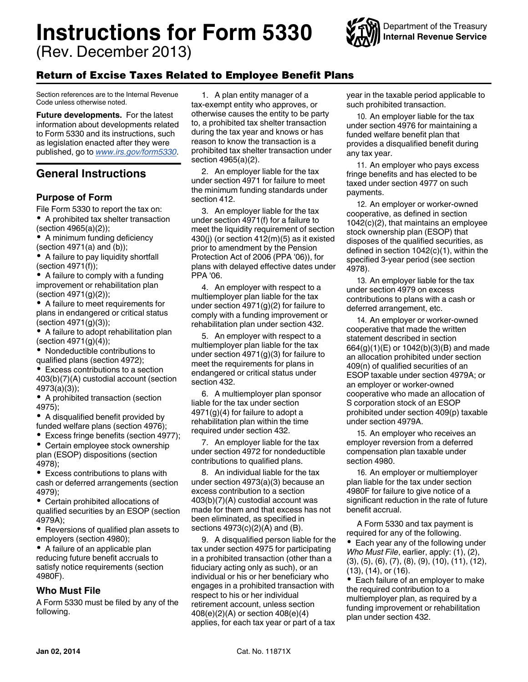# <span id="page-0-0"></span>**Instructions for Form 5330**

(Rev. December 2013)



# Return of Excise Taxes Related to Employee Benefit Plans

Section references are to the Internal Revenue Code unless otherwise noted.

**Future developments.** For the latest information about developments related to Form 5330 and its instructions, such as legislation enacted after they were published, go to *[www.irs.gov/form5330](http://www.irs.gov/form5330)*.

# **General Instructions**

# **Purpose of Form**

File Form 5330 to report the tax on: A prohibited tax shelter transaction (section 4965(a)(2));

- A minimum funding deficiency (section  $4971(a)$  and  $(b)$ );
- A failure to pay liquidity shortfall (section 4971(f));

• A failure to comply with a funding improvement or rehabilitation plan (section 4971(g)(2));

A failure to meet requirements for plans in endangered or critical status (section 4971(g)(3));

A failure to adopt rehabilitation plan (section 4971(g)(4));

٠ Nondeductible contributions to qualified plans (section 4972);

Excess contributions to a section  $\bullet$ 403(b)(7)(A) custodial account (section 4973(a)(3));

A prohibited transaction (section 4975);

A disqualified benefit provided by funded welfare plans (section 4976);

Excess fringe benefits (section 4977); Certain employee stock ownership plan (ESOP) dispositions (section 4978);

Excess contributions to plans with cash or deferred arrangements (section 4979);

Certain prohibited allocations of qualified securities by an ESOP (section 4979A);

• Reversions of qualified plan assets to employers (section 4980);

A failure of an applicable plan reducing future benefit accruals to satisfy notice requirements (section 4980F).

# **Who Must File**

A Form 5330 must be filed by any of the following.

1. A plan entity manager of a tax-exempt entity who approves, or otherwise causes the entity to be party to, a prohibited tax shelter transaction during the tax year and knows or has reason to know the transaction is a prohibited tax shelter transaction under section 4965(a)(2).

2. An employer liable for the tax under section 4971 for failure to meet the minimum funding standards under section 412.

3. An employer liable for the tax under section 4971(f) for a failure to meet the liquidity requirement of section 430(j) (or section 412(m)(5) as it existed prior to amendment by the Pension Protection Act of 2006 (PPA '06)), for plans with delayed effective dates under PPA '06.

4. An employer with respect to a multiemployer plan liable for the tax under section 4971(g)(2) for failure to comply with a funding improvement or rehabilitation plan under section 432.

5. An employer with respect to a multiemployer plan liable for the tax under section 4971(g)(3) for failure to meet the requirements for plans in endangered or critical status under section 432.

6. A multiemployer plan sponsor liable for the tax under section 4971(g)(4) for failure to adopt a rehabilitation plan within the time required under section 432.

7. An employer liable for the tax under section 4972 for nondeductible contributions to qualified plans.

8. An individual liable for the tax under section 4973(a)(3) because an excess contribution to a section 403(b)(7)(A) custodial account was made for them and that excess has not been eliminated, as specified in sections 4973(c)(2)(A) and (B).

9. A disqualified person liable for the tax under section 4975 for participating in a prohibited transaction (other than a fiduciary acting only as such), or an individual or his or her beneficiary who engages in a prohibited transaction with respect to his or her individual retirement account, unless section 408(e)(2)(A) or section 408(e)(4) applies, for each tax year or part of a tax year in the taxable period applicable to such prohibited transaction.

10. An employer liable for the tax under section 4976 for maintaining a funded welfare benefit plan that provides a disqualified benefit during any tax year.

11. An employer who pays excess fringe benefits and has elected to be taxed under section 4977 on such payments.

12. An employer or worker-owned cooperative, as defined in section 1042(c)(2), that maintains an employee stock ownership plan (ESOP) that disposes of the qualified securities, as defined in section 1042(c)(1), within the specified 3-year period (see section 4978).

13. An employer liable for the tax under section 4979 on excess contributions to plans with a cash or deferred arrangement, etc.

14. An employer or worker-owned cooperative that made the written statement described in section 664(g)(1)(E) or 1042(b)(3)(B) and made an allocation prohibited under section 409(n) of qualified securities of an ESOP taxable under section 4979A; or an employer or worker-owned cooperative who made an allocation of S corporation stock of an ESOP prohibited under section 409(p) taxable under section 4979A.

15. An employer who receives an employer reversion from a deferred compensation plan taxable under section 4980.

16. An employer or multiemployer plan liable for the tax under section 4980F for failure to give notice of a significant reduction in the rate of future benefit accrual.

A Form 5330 and tax payment is required for any of the following. • Each year any of the following under *Who Must File*, earlier, apply: (1), (2), (3), (5), (6), (7), (8), (9), (10), (11), (12), (13), (14), or (16).

• Each failure of an employer to make the required contribution to a multiemployer plan, as required by a funding improvement or rehabilitation plan under section 432.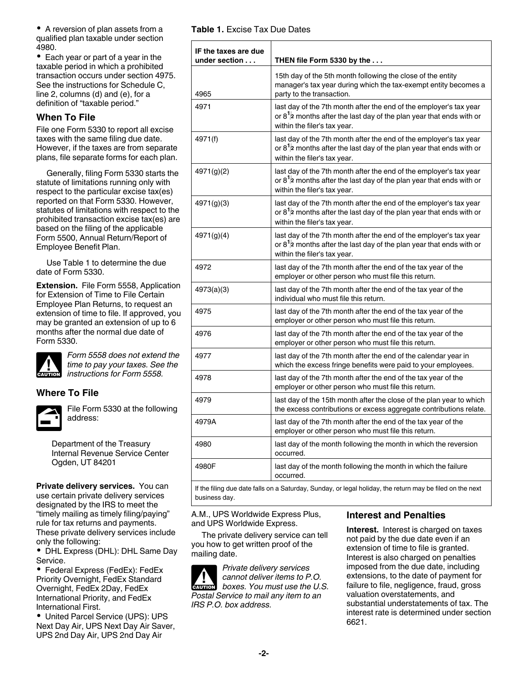<span id="page-1-0"></span>A reversion of plan assets from a qualified plan taxable under section 4980.

• Each year or part of a year in the taxable period in which a prohibited transaction occurs under section 4975. See the instructions for Schedule C, line 2, columns (d) and (e), for a definition of "taxable period."

# **When To File**

File one Form 5330 to report all excise taxes with the same filing due date. However, if the taxes are from separate plans, file separate forms for each plan.

Generally, filing Form 5330 starts the statute of limitations running only with respect to the particular excise tax(es) reported on that Form 5330. However, statutes of limitations with respect to the prohibited transaction excise tax(es) are based on the filing of the applicable Form 5500, Annual Return/Report of Employee Benefit Plan.

Use Table 1 to determine the due date of Form 5330.

**Extension.** File Form 5558, Application for Extension of Time to File Certain Employee Plan Returns, to request an extension of time to file. If approved, you may be granted an extension of up to 6 months after the normal due date of Form 5330.



*Form 5558 does not extend the time to pay your taxes. See the instructions for Form 5558.*

# **Where To File**



File Form 5330 at the following address:

Department of the Treasury Internal Revenue Service Center Ogden, UT 84201

**Private delivery services.** You can use certain private delivery services designated by the IRS to meet the "timely mailing as timely filing/paying" rule for tax returns and payments. These private delivery services include only the following:

DHL Express (DHL): DHL Same Day Service.

Federal Express (FedEx): FedEx Priority Overnight, FedEx Standard Overnight, FedEx 2Day, FedEx International Priority, and FedEx International First.

United Parcel Service (UPS): UPS Next Day Air, UPS Next Day Air Saver, UPS 2nd Day Air, UPS 2nd Day Air

|  |  | <b>Table 1. Excise Tax Due Dates</b> |  |  |  |
|--|--|--------------------------------------|--|--|--|
|--|--|--------------------------------------|--|--|--|

| IF the taxes are due<br>under section | THEN file Form 5330 by the $\dots$                                                                                                                                                              |
|---------------------------------------|-------------------------------------------------------------------------------------------------------------------------------------------------------------------------------------------------|
| 4965                                  | 15th day of the 5th month following the close of the entity<br>manager's tax year during which the tax-exempt entity becomes a $\vert$<br>party to the transaction.                             |
| 4971                                  | last day of the 7th month after the end of the employer's tax year<br>or $8^{1/2}$ months after the last day of the plan year that ends with or<br>within the filer's tax year.                 |
| 4971(f)                               | last day of the 7th month after the end of the employer's tax year<br>$\vert$ or 8 <sup>1</sup> /2 months after the last day of the plan year that ends with or<br>within the filer's tax year. |
| 4971(g)(2)                            | last day of the 7th month after the end of the employer's tax year<br>$\vert$ or 8 <sup>1</sup> /2 months after the last day of the plan year that ends with or<br>within the filer's tax year. |
| 4971(g)(3)                            | last day of the 7th month after the end of the employer's tax year<br>$\mid$ or 8 $^{1}\!$ months after the last day of the plan year that ends with or<br>within the filer's tax year.         |
| 4971(g)(4)                            | last day of the 7th month after the end of the employer's tax year<br>$\mid$ or 8 <sup>1</sup> /2 months after the last day of the plan year that ends with or<br>within the filer's tax year.  |
| 4972                                  | last day of the 7th month after the end of the tax year of the<br>employer or other person who must file this return.                                                                           |
| 4973(a)(3)                            | last day of the 7th month after the end of the tax year of the<br>individual who must file this return.                                                                                         |
| 4975                                  | last day of the 7th month after the end of the tax year of the<br>employer or other person who must file this return.                                                                           |
| 4976                                  | last day of the 7th month after the end of the tax year of the<br>employer or other person who must file this return.                                                                           |
| 4977                                  | last day of the 7th month after the end of the calendar year in<br>which the excess fringe benefits were paid to your employees.                                                                |
| 4978                                  | last day of the 7th month after the end of the tax year of the<br>employer or other person who must file this return.                                                                           |
| 4979                                  | Iast day of the 15th month after the close of the plan year to which<br>the excess contributions or excess aggregate contributions relate.                                                      |
| 4979A                                 | last day of the 7th month after the end of the tax year of the<br>employer or other person who must file this return.                                                                           |
| 4980                                  | last day of the month following the month in which the reversion<br>occurred.                                                                                                                   |
| 4980F                                 | last day of the month following the month in which the failure<br>occurred.                                                                                                                     |

If the filing due date falls on a Saturday, Sunday, or legal holiday, the return may be filed on the next business day.

A.M., UPS Worldwide Express Plus, and UPS Worldwide Express.

The private delivery service can tell you how to get written proof of the mailing date.

*Private delivery services cannot deliver items to P.O. boxes. You must use the U.S. Postal Service to mail any item to an IRS P.O. box address.* **CAUTION !**

#### **Interest and Penalties**

**Interest.** Interest is charged on taxes not paid by the due date even if an extension of time to file is granted. Interest is also charged on penalties imposed from the due date, including extensions, to the date of payment for failure to file, negligence, fraud, gross valuation overstatements, and substantial understatements of tax. The interest rate is determined under section 6621.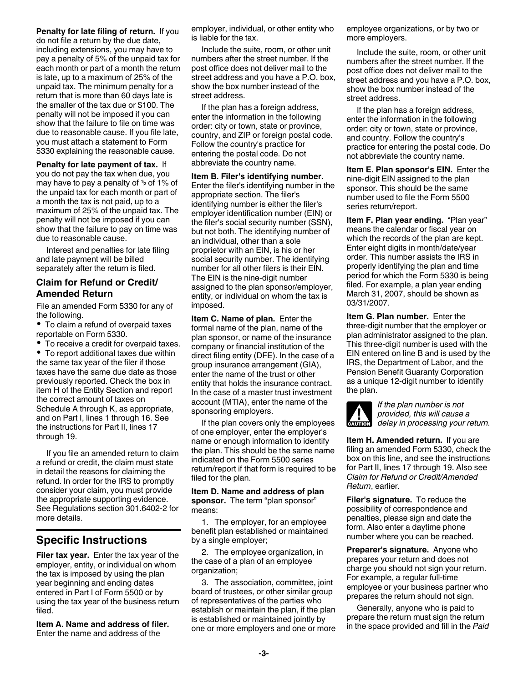<span id="page-2-0"></span>**Penalty for late filing of return.** If you do not file a return by the due date, including extensions, you may have to pay a penalty of 5% of the unpaid tax for each month or part of a month the return is late, up to a maximum of 25% of the unpaid tax. The minimum penalty for a return that is more than 60 days late is the smaller of the tax due or \$100. The penalty will not be imposed if you can show that the failure to file on time was due to reasonable cause. If you file late, you must attach a statement to Form 5330 explaining the reasonable cause.

**Penalty for late payment of tax.** If you do not pay the tax when due, you the unpaid tax for each month or part of a month the tax is not paid, up to a maximum of 25% of the unpaid tax. The penalty will not be imposed if you can show that the failure to pay on time was due to reasonable cause.

Interest and penalties for late filing and late payment will be billed separately after the return is filed.

# **Claim for Refund or Credit/ Amended Return**

File an amended Form 5330 for any of the following.

To claim a refund of overpaid taxes reportable on Form 5330.

To receive a credit for overpaid taxes.

To report additional taxes due within the same tax year of the filer if those taxes have the same due date as those previously reported. Check the box in item H of the Entity Section and report the correct amount of taxes on Schedule A through K, as appropriate, and on Part I, lines 1 through 16. See the instructions for Part II, lines 17 through 19.

If you file an amended return to claim a refund or credit, the claim must state in detail the reasons for claiming the refund. In order for the IRS to promptly consider your claim, you must provide the appropriate supporting evidence. See Regulations section 301.6402-2 for more details.

# **Specific Instructions**

**Filer tax year.** Enter the tax year of the employer, entity, or individual on whom the tax is imposed by using the plan year beginning and ending dates entered in Part I of Form 5500 or by using the tax year of the business return filed.

**Item A. Name and address of filer.**  Enter the name and address of the

employer, individual, or other entity who is liable for the tax.

Include the suite, room, or other unit numbers after the street number. If the post office does not deliver mail to the street address and you have a P.O. box, show the box number instead of the street address.

If the plan has a foreign address, enter the information in the following order: city or town, state or province, country, and ZIP or foreign postal code. Follow the country's practice for entering the postal code. Do not abbreviate the country name.

may have to pay a penalty of  $\frac{1}{2}$  of  $\frac{1}{2}$  of  $\frac{1}{2}$  of  $\frac{1}{2}$  of  $\frac{1}{2}$  of  $\frac{1}{2}$  of  $\frac{1}{2}$  of  $\frac{1}{2}$  of  $\frac{1}{2}$  of  $\frac{1}{2}$  of  $\frac{1}{2}$  of  $\frac{1}{2}$  of  $\frac{1}{2}$  of  $\frac{1}{2}$  of  $\frac{1}{2}$  **Item B. Filer's identifying number.**  Enter the filer's identifying number in the appropriate section. The filer's identifying number is either the filer's employer identification number (EIN) or the filer's social security number (SSN), but not both. The identifying number of an individual, other than a sole proprietor with an EIN, is his or her social security number. The identifying number for all other filers is their EIN. The EIN is the nine-digit number assigned to the plan sponsor/employer, entity, or individual on whom the tax is imposed.

> **Item C. Name of plan.** Enter the formal name of the plan, name of the plan sponsor, or name of the insurance company or financial institution of the direct filing entity (DFE). In the case of a group insurance arrangement (GIA), enter the name of the trust or other entity that holds the insurance contract. In the case of a master trust investment account (MTIA), enter the name of the sponsoring employers.

> If the plan covers only the employees of one employer, enter the employer's name or enough information to identify the plan. This should be the same name indicated on the Form 5500 series return/report if that form is required to be filed for the plan.

#### **Item D. Name and address of plan sponsor.** The term "plan sponsor" means:

1. The employer, for an employee benefit plan established or maintained by a single employer;

2. The employee organization, in the case of a plan of an employee organization;

3. The association, committee, joint board of trustees, or other similar group of representatives of the parties who establish or maintain the plan, if the plan is established or maintained jointly by one or more employers and one or more employee organizations, or by two or more employers.

Include the suite, room, or other unit numbers after the street number. If the post office does not deliver mail to the street address and you have a P.O. box, show the box number instead of the street address.

If the plan has a foreign address, enter the information in the following order: city or town, state or province, and country. Follow the country's practice for entering the postal code. Do not abbreviate the country name.

**Item E. Plan sponsor's EIN.** Enter the nine-digit EIN assigned to the plan sponsor. This should be the same number used to file the Form 5500 series return/report.

**Item F. Plan year ending.** "Plan year" means the calendar or fiscal year on which the records of the plan are kept. Enter eight digits in month/date/year order. This number assists the IRS in properly identifying the plan and time period for which the Form 5330 is being filed. For example, a plan year ending March 31, 2007, should be shown as 03/31/2007.

**Item G. Plan number.** Enter the three-digit number that the employer or plan administrator assigned to the plan. This three-digit number is used with the EIN entered on line B and is used by the IRS, the Department of Labor, and the Pension Benefit Guaranty Corporation as a unique 12-digit number to identify the plan.



*If the plan number is not provided, this will cause a*  **delay in processing your return.**<br> **CAUTION** delay in processing your return.

**Item H. Amended return.** If you are filing an amended Form 5330, check the box on this line, and see the instructions for Part II, lines 17 through 19. Also see *Claim for Refund or Credit/Amended Return*, earlier.

**Filer's signature.** To reduce the possibility of correspondence and penalties, please sign and date the form. Also enter a daytime phone number where you can be reached.

**Preparer's signature.** Anyone who prepares your return and does not charge you should not sign your return. For example, a regular full-time employee or your business partner who prepares the return should not sign.

Generally, anyone who is paid to prepare the return must sign the return in the space provided and fill in the *Paid*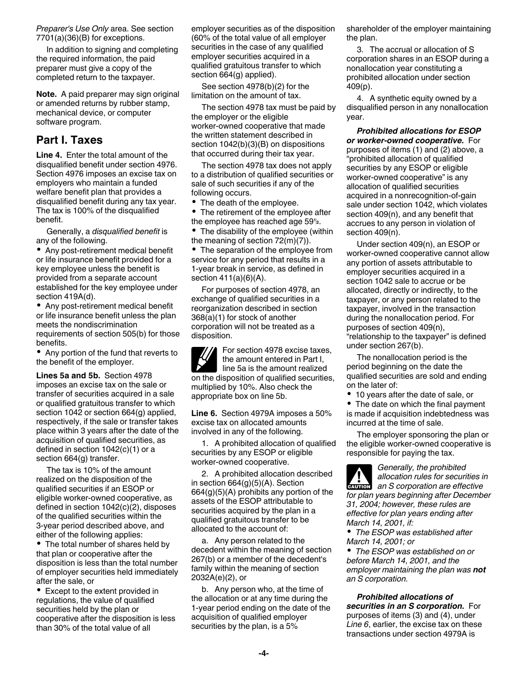<span id="page-3-0"></span>*Preparer's Use Only* area. See section 7701(a)(36)(B) for exceptions.

In addition to signing and completing the required information, the paid preparer must give a copy of the completed return to the taxpayer.

**Note.** A paid preparer may sign original or amended returns by rubber stamp, mechanical device, or computer software program.

# **Part I. Taxes**

**Line 4.** Enter the total amount of the disqualified benefit under section 4976. Section 4976 imposes an excise tax on employers who maintain a funded welfare benefit plan that provides a disqualified benefit during any tax year. The tax is 100% of the disqualified benefit.

Generally, a *disqualified benefit* is any of the following.

Any post-retirement medical benefit or life insurance benefit provided for a key employee unless the benefit is provided from a separate account established for the key employee under section 419A(d).

Any post-retirement medical benefit or life insurance benefit unless the plan meets the nondiscrimination requirements of section 505(b) for those benefits.

Any portion of the fund that reverts to the benefit of the employer.

**Lines 5a and 5b.** Section 4978 imposes an excise tax on the sale or transfer of securities acquired in a sale or qualified gratuitous transfer to which section 1042 or section 664(g) applied, respectively, if the sale or transfer takes place within 3 years after the date of the acquisition of qualified securities, as defined in section 1042(c)(1) or a section 664(g) transfer.

The tax is 10% of the amount realized on the disposition of the qualified securities if an ESOP or eligible worker-owned cooperative, as defined in section 1042(c)(2), disposes of the qualified securities within the 3-year period described above, and either of the following applies:

• The total number of shares held by that plan or cooperative after the disposition is less than the total number of employer securities held immediately after the sale, or

• Except to the extent provided in regulations, the value of qualified securities held by the plan or cooperative after the disposition is less than 30% of the total value of all

employer securities as of the disposition (60% of the total value of all employer securities in the case of any qualified employer securities acquired in a qualified gratuitous transfer to which section 664(g) applied).

See section 4978(b)(2) for the limitation on the amount of tax.

The section 4978 tax must be paid by the employer or the eligible worker-owned cooperative that made the written statement described in section 1042(b)(3)(B) on dispositions that occurred during their tax year.

The section 4978 tax does not apply to a distribution of qualified securities or sale of such securities if any of the following occurs.

• The death of the employee.

• The retirement of the employee after the employee has reached age 59<sup>1</sup>/<sub>2</sub>.

• The disability of the employee (within the meaning of section 72(m)(7)).

• The separation of the employee from service for any period that results in a 1-year break in service, as defined in section 411(a)(6)(A).

For purposes of section 4978, an exchange of qualified securities in a reorganization described in section 368(a)(1) for stock of another corporation will not be treated as a disposition.

For section 4978 excise taxes, the amount entered in Part I, line 5a is the amount realized on the disposition of qualified securities, multiplied by 10%. Also check the appropriate box on line 5b.

**Line 6.** Section 4979A imposes a 50% excise tax on allocated amounts involved in any of the following.

1. A prohibited allocation of qualified securities by any ESOP or eligible worker-owned cooperative.

2. A prohibited allocation described in section 664(g)(5)(A). Section  $664(g)(5)(A)$  prohibits any portion of the assets of the ESOP attributable to securities acquired by the plan in a qualified gratuitous transfer to be allocated to the account of:

a. Any person related to the decedent within the meaning of section 267(b) or a member of the decedent's family within the meaning of section 2032A(e)(2), or

b. Any person who, at the time of the allocation or at any time during the 1-year period ending on the date of the acquisition of qualified employer securities by the plan, is a 5%

shareholder of the employer maintaining the plan.

3. The accrual or allocation of S corporation shares in an ESOP during a nonallocation year constituting a prohibited allocation under section 409(p).

4. A synthetic equity owned by a disqualified person in any nonallocation year.

the employee has reached age 59**<sup>1</sup>** *Prohibited allocations for ESOP or worker-owned cooperative.* For purposes of items (1) and (2) above, a "prohibited allocation of qualified securities by any ESOP or eligible worker-owned cooperative" is any allocation of qualified securities acquired in a nonrecognition-of-gain sale under section 1042, which violates section 409(n), and any benefit that accrues to any person in violation of section 409(n).

> Under section 409(n), an ESOP or worker-owned cooperative cannot allow any portion of assets attributable to employer securities acquired in a section 1042 sale to accrue or be allocated, directly or indirectly, to the taxpayer, or any person related to the taxpayer, involved in the transaction during the nonallocation period. For purposes of section 409(n), "relationship to the taxpayer" is defined under section 267(b).

The nonallocation period is the period beginning on the date the qualified securities are sold and ending on the later of:

10 years after the date of sale, or

The date on which the final payment is made if acquisition indebtedness was incurred at the time of sale.

The employer sponsoring the plan or the eligible worker-owned cooperative is responsible for paying the tax.

*Generally, the prohibited allocation rules for securities in*  **z** allocation rules for securities in an S corporation are effective *for plan years beginning after December 31, 2004; however, these rules are effective for plan years ending after March 14, 2001, if:*

*The ESOP was established after March 14, 2001; or*

*The ESOP was established on or before March 14, 2001, and the employer maintaining the plan was not an S corporation.*

*Prohibited allocations of securities in an S corporation.* For purposes of items (3) and (4), under *Line 6*, earlier, the excise tax on these transactions under section 4979A is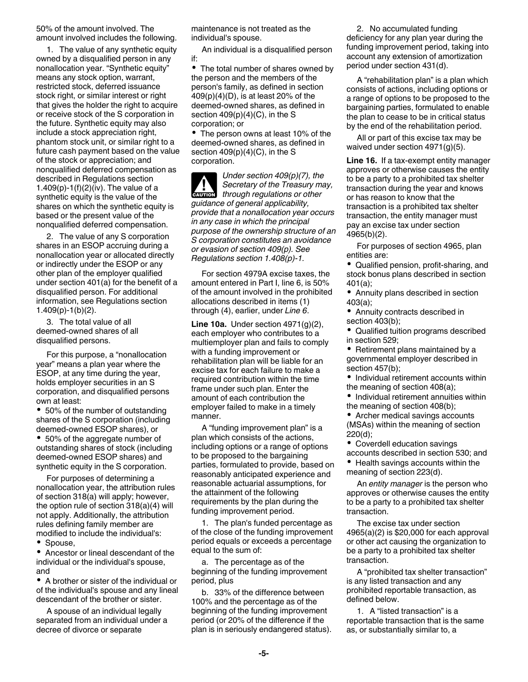<span id="page-4-0"></span>50% of the amount involved. The amount involved includes the following.

1. The value of any synthetic equity owned by a disqualified person in any nonallocation year. "Synthetic equity" means any stock option, warrant, restricted stock, deferred issuance stock right, or similar interest or right that gives the holder the right to acquire or receive stock of the S corporation in the future. Synthetic equity may also include a stock appreciation right, phantom stock unit, or similar right to a future cash payment based on the value of the stock or appreciation; and nonqualified deferred compensation as described in Regulations section 1.409(p)-1(f)(2)(iv). The value of a synthetic equity is the value of the shares on which the synthetic equity is based or the present value of the nonqualified deferred compensation.

2. The value of any S corporation shares in an ESOP accruing during a nonallocation year or allocated directly or indirectly under the ESOP or any other plan of the employer qualified under section 401(a) for the benefit of a disqualified person. For additional information, see Regulations section 1.409(p)-1(b)(2).

3. The total value of all deemed-owned shares of all disqualified persons.

For this purpose, a "nonallocation year" means a plan year where the ESOP, at any time during the year, holds employer securities in an S corporation, and disqualified persons own at least:

• 50% of the number of outstanding shares of the S corporation (including deemed-owned ESOP shares), or

• 50% of the aggregate number of outstanding shares of stock (including deemed-owned ESOP shares) and synthetic equity in the S corporation.

For purposes of determining a nonallocation year, the attribution rules of section 318(a) will apply; however, the option rule of section 318(a)(4) will not apply. Additionally, the attribution rules defining family member are modified to include the individual's:

• Spouse.

Ancestor or lineal descendant of the individual or the individual's spouse, and

A brother or sister of the individual or of the individual's spouse and any lineal descendant of the brother or sister.

A spouse of an individual legally separated from an individual under a decree of divorce or separate

maintenance is not treated as the individual's spouse.

An individual is a disqualified person if:

The total number of shares owned by the person and the members of the person's family, as defined in section 409(p)(4)(D), is at least 20% of the deemed-owned shares, as defined in section  $409(p)(4)(C)$ , in the S corporation; or

• The person owns at least 10% of the deemed-owned shares, as defined in section  $409(p)(4)(C)$ , in the S corporation.

*Under section 409(p)(7), the Secretary of the Treasury may,*  **Secretary of the Treasury manufacture of the Creasury manufacture** *through regulations or other guidance of general applicability, provide that a nonallocation year occurs in any case in which the principal purpose of the ownership structure of an S corporation constitutes an avoidance or evasion of section 409(p). See Regulations section 1.408(p)-1.*

For section 4979A excise taxes, the amount entered in Part I, line 6, is 50% of the amount involved in the prohibited allocations described in items (1) through (4), earlier, under *Line 6*.

**Line 10a.** Under section 4971(g)(2), each employer who contributes to a multiemployer plan and fails to comply with a funding improvement or rehabilitation plan will be liable for an excise tax for each failure to make a required contribution within the time frame under such plan. Enter the amount of each contribution the employer failed to make in a timely manner.

A "funding improvement plan" is a plan which consists of the actions, including options or a range of options to be proposed to the bargaining parties, formulated to provide, based on reasonably anticipated experience and reasonable actuarial assumptions, for the attainment of the following requirements by the plan during the funding improvement period.

1. The plan's funded percentage as of the close of the funding improvement period equals or exceeds a percentage equal to the sum of:

a. The percentage as of the beginning of the funding improvement period, plus

b. 33% of the difference between 100% and the percentage as of the beginning of the funding improvement period (or 20% of the difference if the plan is in seriously endangered status).

2. No accumulated funding deficiency for any plan year during the funding improvement period, taking into account any extension of amortization period under section 431(d).

A "rehabilitation plan" is a plan which consists of actions, including options or a range of options to be proposed to the bargaining parties, formulated to enable the plan to cease to be in critical status by the end of the rehabilitation period.

All or part of this excise tax may be waived under section 4971(g)(5).

**Line 16.** If a tax-exempt entity manager approves or otherwise causes the entity to be a party to a prohibited tax shelter transaction during the year and knows or has reason to know that the transaction is a prohibited tax shelter transaction, the entity manager must pay an excise tax under section 4965(b)(2).

For purposes of section 4965, plan entities are:

Qualified pension, profit-sharing, and stock bonus plans described in section 401(a);

Annuity plans described in section 403(a);

- Annuity contracts described in section 403(b);
- Qualified tuition programs described in section 529;
- Retirement plans maintained by a governmental employer described in section 457(b);

• Individual retirement accounts within the meaning of section 408(a);

• Individual retirement annuities within the meaning of section 408(b);

• Archer medical savings accounts (MSAs) within the meaning of section 220(d);

Coverdell education savings

accounts described in section 530; and • Health savings accounts within the meaning of section 223(d).

An *entity manager* is the person who approves or otherwise causes the entity to be a party to a prohibited tax shelter transaction.

The excise tax under section 4965(a)(2) is \$20,000 for each approval or other act causing the organization to be a party to a prohibited tax shelter transaction.

A "prohibited tax shelter transaction" is any listed transaction and any prohibited reportable transaction, as defined below.

1. A "listed transaction" is a reportable transaction that is the same as, or substantially similar to, a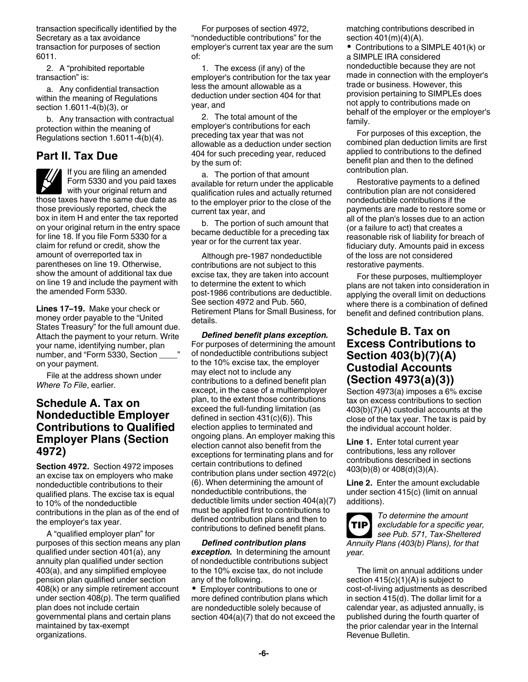<span id="page-5-0"></span>transaction specifically identified by the Secretary as a tax avoidance transaction for purposes of section 6011.

2. A "prohibited reportable transaction" is:

a. Any confidential transaction within the meaning of Regulations section 1.6011-4(b)(3), or

b. Any transaction with contractual protection within the meaning of Regulations section 1.6011-4(b)(4).

# **Part II. Tax Due**

If you are filing an amended Form 5330 and you paid taxes with your original return and those taxes have the same due date as those previously reported, check the box in item H and enter the tax reported on your original return in the entry space for line 18. If you file Form 5330 for a claim for refund or credit, show the amount of overreported tax in parentheses on line 19. Otherwise, show the amount of additional tax due on line 19 and include the payment with the amended Form 5330.

**Lines 17–19.** Make your check or money order payable to the "United States Treasury" for the full amount due. Attach the payment to your return. Write your name, identifying number, plan number, and "Form 5330, Section on your payment.

File at the address shown under *Where To File*, earlier.

# **Schedule A. Tax on Nondeductible Employer Contributions to Qualified Employer Plans (Section 4972)**

**Section 4972.** Section 4972 imposes an excise tax on employers who make nondeductible contributions to their qualified plans. The excise tax is equal to 10% of the nondeductible contributions in the plan as of the end of the employer's tax year.

A "qualified employer plan" for purposes of this section means any plan qualified under section 401(a), any annuity plan qualified under section 403(a), and any simplified employee pension plan qualified under section 408(k) or any simple retirement account under section 408(p). The term qualified plan does not include certain governmental plans and certain plans maintained by tax-exempt organizations.

For purposes of section 4972, "nondeductible contributions" for the employer's current tax year are the sum of:

1. The excess (if any) of the employer's contribution for the tax year less the amount allowable as a deduction under section 404 for that year, and

2. The total amount of the employer's contributions for each preceding tax year that was not allowable as a deduction under section 404 for such preceding year, reduced by the sum of:

a. The portion of that amount available for return under the applicable qualification rules and actually returned to the employer prior to the close of the current tax year, and

b. The portion of such amount that became deductible for a preceding tax year or for the current tax year.

Although pre-1987 nondeductible contributions are not subject to this excise tax, they are taken into account to determine the extent to which post-1986 contributions are deductible. See section 4972 and Pub. 560, Retirement Plans for Small Business, for details.

*Defined benefit plans exception.* For purposes of determining the amount of nondeductible contributions subject to the 10% excise tax, the employer may elect not to include any contributions to a defined benefit plan except, in the case of a multiemployer plan, to the extent those contributions exceed the full-funding limitation (as defined in section 431(c)(6)). This election applies to terminated and ongoing plans. An employer making this election cannot also benefit from the exceptions for terminating plans and for certain contributions to defined contribution plans under section 4972(c) (6). When determining the amount of nondeductible contributions, the deductible limits under section 404(a)(7) must be applied first to contributions to defined contribution plans and then to contributions to defined benefit plans.

*Defined contribution plans exception.* In determining the amount of nondeductible contributions subject to the 10% excise tax, do not include any of the following.

Employer contributions to one or more defined contribution plans which are nondeductible solely because of section 404(a)(7) that do not exceed the matching contributions described in section 401(m)(4)(A).

Contributions to a SIMPLE 401(k) or a SIMPLE IRA considered nondeductible because they are not made in connection with the employer's trade or business. However, this provision pertaining to SIMPLEs does not apply to contributions made on behalf of the employer or the employer's family.

For purposes of this exception, the combined plan deduction limits are first applied to contributions to the defined benefit plan and then to the defined contribution plan.

Restorative payments to a defined contribution plan are not considered nondeductible contributions if the payments are made to restore some or all of the plan's losses due to an action (or a failure to act) that creates a reasonable risk of liability for breach of fiduciary duty. Amounts paid in excess of the loss are not considered restorative payments.

For these purposes, multiemployer plans are not taken into consideration in applying the overall limit on deductions where there is a combination of defined benefit and defined contribution plans.

# **Schedule B. Tax on Excess Contributions to Section 403(b)(7)(A) Custodial Accounts (Section 4973(a)(3))**

Section 4973(a) imposes a 6% excise tax on excess contributions to section 403(b)(7)(A) custodial accounts at the close of the tax year. The tax is paid by the individual account holder.

**Line 1.** Enter total current year contributions, less any rollover contributions described in sections 403(b)(8) or 408(d)(3)(A).

**Line 2.** Enter the amount excludable under section 415(c) (limit on annual additions).



*To determine the amount excludable for a specific year, see Pub. 571, Tax-Sheltered Annuity Plans (403(b) Plans), for that year.*

The limit on annual additions under section 415(c)(1)(A) is subject to cost-of-living adjustments as described in section 415(d). The dollar limit for a calendar year, as adjusted annually, is published during the fourth quarter of the prior calendar year in the Internal Revenue Bulletin.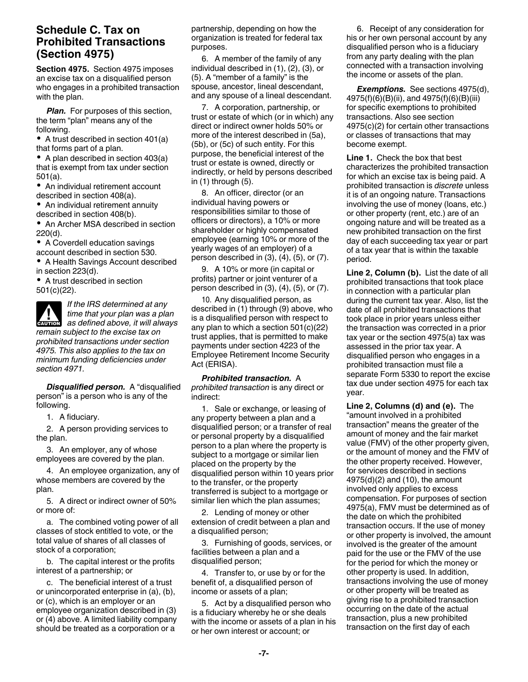# <span id="page-6-0"></span>**Schedule C. Tax on Prohibited Transactions (Section 4975)**

**Section 4975.** Section 4975 imposes an excise tax on a disqualified person who engages in a prohibited transaction with the plan.

*Plan.* For purposes of this section, the term "plan" means any of the following.

• A trust described in section 401(a) that forms part of a plan.

• A plan described in section 403(a) that is exempt from tax under section 501(a).

An individual retirement account described in section 408(a).

An individual retirement annuity described in section 408(b).

• An Archer MSA described in section 220(d).

• A Coverdell education savings

account described in section 530.

A Health Savings Account described in section 223(d).

A trust described in section 501(c)(22).

*If the IRS determined at any time that your plan was a plan as defined above, it will always remain subject to the excise tax on prohibited transactions under section 4975. This also applies to the tax on minimum funding deficiencies under section 4971.* **CAUTION !**

*Disqualified person.* A "disqualified person" is a person who is any of the following.

1. A fiduciary.

2. A person providing services to the plan.

3. An employer, any of whose employees are covered by the plan.

4. An employee organization, any of whose members are covered by the plan.

5. A direct or indirect owner of 50% or more of:

a. The combined voting power of all classes of stock entitled to vote, or the total value of shares of all classes of stock of a corporation;

b. The capital interest or the profits interest of a partnership; or

c. The beneficial interest of a trust or unincorporated enterprise in (a), (b), or (c), which is an employer or an employee organization described in (3) or (4) above. A limited liability company should be treated as a corporation or a

partnership, depending on how the organization is treated for federal tax purposes.

6. A member of the family of any individual described in (1), (2), (3), or (5). A "member of a family" is the spouse, ancestor, lineal descendant, and any spouse of a lineal descendant.

7. A corporation, partnership, or trust or estate of which (or in which) any direct or indirect owner holds 50% or more of the interest described in (5a), (5b), or (5c) of such entity. For this purpose, the beneficial interest of the trust or estate is owned, directly or indirectly, or held by persons described in (1) through (5).

8. An officer, director (or an individual having powers or responsibilities similar to those of officers or directors), a 10% or more shareholder or highly compensated employee (earning 10% or more of the yearly wages of an employer) of a person described in (3), (4), (5), or (7).

9. A 10% or more (in capital or profits) partner or joint venturer of a person described in (3), (4), (5), or (7).

10. Any disqualified person, as described in (1) through (9) above, who is a disqualified person with respect to any plan to which a section 501(c)(22) trust applies, that is permitted to make payments under section 4223 of the Employee Retirement Income Security Act (ERISA).

*Prohibited transaction.* A *prohibited transaction* is any direct or indirect:

1. Sale or exchange, or leasing of any property between a plan and a disqualified person; or a transfer of real or personal property by a disqualified person to a plan where the property is subject to a mortgage or similar lien placed on the property by the disqualified person within 10 years prior to the transfer, or the property transferred is subject to a mortgage or similar lien which the plan assumes;

2. Lending of money or other extension of credit between a plan and a disqualified person;

3. Furnishing of goods, services, or facilities between a plan and a disqualified person;

4. Transfer to, or use by or for the benefit of, a disqualified person of income or assets of a plan;

5. Act by a disqualified person who is a fiduciary whereby he or she deals with the income or assets of a plan in his or her own interest or account; or

6. Receipt of any consideration for his or her own personal account by any disqualified person who is a fiduciary from any party dealing with the plan connected with a transaction involving the income or assets of the plan.

*Exemptions.* See sections 4975(d), 4975(f)(6)(B)(ii), and 4975(f)(6)(B)(iii) for specific exemptions to prohibited transactions. Also see section 4975(c)(2) for certain other transactions or classes of transactions that may become exempt.

**Line 1.** Check the box that best characterizes the prohibited transaction for which an excise tax is being paid. A prohibited transaction is *discrete* unless it is of an ongoing nature. Transactions involving the use of money (loans, etc.) or other property (rent, etc.) are of an ongoing nature and will be treated as a new prohibited transaction on the first day of each succeeding tax year or part of a tax year that is within the taxable period.

**Line 2, Column (b).** List the date of all prohibited transactions that took place in connection with a particular plan during the current tax year. Also, list the date of all prohibited transactions that took place in prior years unless either the transaction was corrected in a prior tax year or the section 4975(a) tax was assessed in the prior tax year. A disqualified person who engages in a prohibited transaction must file a separate Form 5330 to report the excise tax due under section 4975 for each tax year.

**Line 2, Columns (d) and (e).** The "amount involved in a prohibited transaction" means the greater of the amount of money and the fair market value (FMV) of the other property given, or the amount of money and the FMV of the other property received. However, for services described in sections 4975(d)(2) and (10), the amount involved only applies to excess compensation. For purposes of section 4975(a), FMV must be determined as of the date on which the prohibited transaction occurs. If the use of money or other property is involved, the amount involved is the greater of the amount paid for the use or the FMV of the use for the period for which the money or other property is used. In addition, transactions involving the use of money or other property will be treated as giving rise to a prohibited transaction occurring on the date of the actual transaction, plus a new prohibited transaction on the first day of each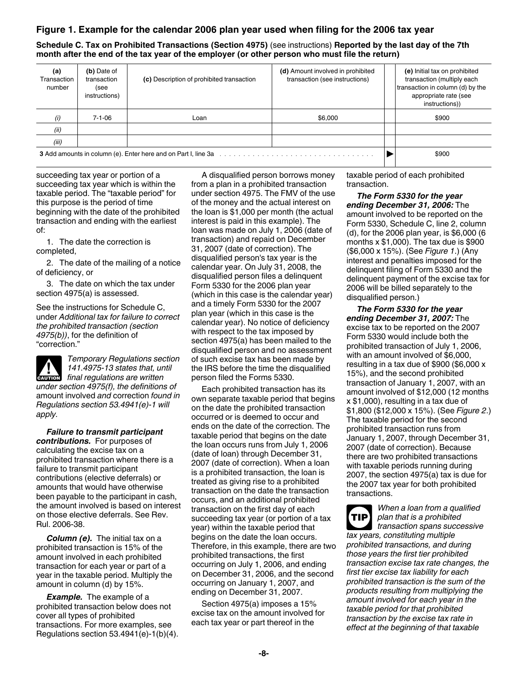#### **Figure 1. Example for the calendar 2006 plan year used when filing for the 2006 tax year**

**Schedule C. Tax on Prohibited Transactions (Section 4975)** (see instructions) **Reported by the last day of the 7th month after the end of the tax year of the employer (or other person who must file the return)**

| (a)<br>Transaction<br>number                                                                                                                                                                                                   | (b) Date of<br>transaction<br>(see<br>instructions) | (c) Description of prohibited transaction | (d) Amount involved in prohibited<br>transaction (see instructions) | (e) Initial tax on prohibited<br>transaction (multiply each<br>transaction in column (d) by the<br>appropriate rate (see<br>instructions)) |
|--------------------------------------------------------------------------------------------------------------------------------------------------------------------------------------------------------------------------------|-----------------------------------------------------|-------------------------------------------|---------------------------------------------------------------------|--------------------------------------------------------------------------------------------------------------------------------------------|
| (i)                                                                                                                                                                                                                            | 7-1-06                                              | Loan                                      | \$6,000                                                             | \$900                                                                                                                                      |
| (ii)                                                                                                                                                                                                                           |                                                     |                                           |                                                                     |                                                                                                                                            |
| (iii)                                                                                                                                                                                                                          |                                                     |                                           |                                                                     |                                                                                                                                            |
| 3 Add amounts in column (e). Enter here and on Part I, line 3a measures in the set of the set of the set of the set of the set of the 3a measures in the set of the set of the set of the 3a measures in the set of the set of |                                                     |                                           | \$900                                                               |                                                                                                                                            |

succeeding tax year or portion of a succeeding tax year which is within the taxable period. The "taxable period" for this purpose is the period of time beginning with the date of the prohibited transaction and ending with the earliest of:

1. The date the correction is completed,

2. The date of the mailing of a notice of deficiency, or

3. The date on which the tax under section 4975(a) is assessed.

See the instructions for Schedule C, under *Additional tax for failure to correct the prohibited transaction (section 4975(b))*, for the definition of "correction."

*Temporary Regulations section 141.4975-13 states that, until final regulations are written under section 4975(f), the definitions of*  amount involved *and* correction *found in Regulations section 53.4941(e)-1 will apply.*

*Failure to transmit participant contributions.* For purposes of calculating the excise tax on a prohibited transaction where there is a failure to transmit participant contributions (elective deferrals) or amounts that would have otherwise been payable to the participant in cash, the amount involved is based on interest on those elective deferrals. See Rev. Rul. 2006-38.

*Column (e).* The initial tax on a prohibited transaction is 15% of the amount involved in each prohibited transaction for each year or part of a year in the taxable period. Multiply the amount in column (d) by 15%.

*Example.* The example of a prohibited transaction below does not cover all types of prohibited transactions. For more examples, see Regulations section 53.4941(e)-1(b)(4).

A disqualified person borrows money from a plan in a prohibited transaction under section 4975. The FMV of the use of the money and the actual interest on the loan is \$1,000 per month (the actual interest is paid in this example). The loan was made on July 1, 2006 (date of transaction) and repaid on December 31, 2007 (date of correction). The disqualified person's tax year is the calendar year. On July 31, 2008, the disqualified person files a delinquent Form 5330 for the 2006 plan year (which in this case is the calendar year) and a timely Form 5330 for the 2007 plan year (which in this case is the calendar year). No notice of deficiency with respect to the tax imposed by section 4975(a) has been mailed to the disqualified person and no assessment of such excise tax has been made by the IRS before the time the disqualified person filed the Forms 5330.

Each prohibited transaction has its own separate taxable period that begins on the date the prohibited transaction occurred or is deemed to occur and ends on the date of the correction. The taxable period that begins on the date the loan occurs runs from July 1, 2006 (date of loan) through December 31, 2007 (date of correction). When a loan is a prohibited transaction, the loan is treated as giving rise to a prohibited transaction on the date the transaction occurs, and an additional prohibited transaction on the first day of each succeeding tax year (or portion of a tax year) within the taxable period that begins on the date the loan occurs. Therefore, in this example, there are two prohibited transactions, the first occurring on July 1, 2006, and ending on December 31, 2006, and the second occurring on January 1, 2007, and ending on December 31, 2007.

Section 4975(a) imposes a 15% excise tax on the amount involved for each tax year or part thereof in the

taxable period of each prohibited transaction.

*The Form 5330 for the year ending December 31, 2006:* The amount involved to be reported on the Form 5330, Schedule C, line 2, column (d), for the 2006 plan year, is \$6,000 (6 months  $x$  \$1,000). The tax due is \$900 (\$6,000 x 15%). (See *Figure 1*.) (Any interest and penalties imposed for the delinquent filing of Form 5330 and the delinquent payment of the excise tax for 2006 will be billed separately to the disqualified person.)

*The Form 5330 for the year ending December 31, 2007:* The excise tax to be reported on the 2007 Form 5330 would include both the prohibited transaction of July 1, 2006, with an amount involved of \$6,000, resulting in a tax due of \$900 (\$6,000 x 15%), and the second prohibited transaction of January 1, 2007, with an amount involved of \$12,000 (12 months x \$1,000), resulting in a tax due of \$1,800 (\$12,000 x 15%). (See *Figure 2*.) The taxable period for the second prohibited transaction runs from January 1, 2007, through December 31, 2007 (date of correction). Because there are two prohibited transactions with taxable periods running during 2007, the section 4975(a) tax is due for the 2007 tax year for both prohibited transactions.

*When a loan from a qualified plan that is a prohibited transaction spans successive tax years, constituting multiple prohibited transactions, and during those years the first tier prohibited transaction excise tax rate changes, the first tier excise tax liability for each prohibited transaction is the sum of the products resulting from multiplying the amount involved for each year in the taxable period for that prohibited transaction by the excise tax rate in effect at the beginning of that taxable*  **TIP**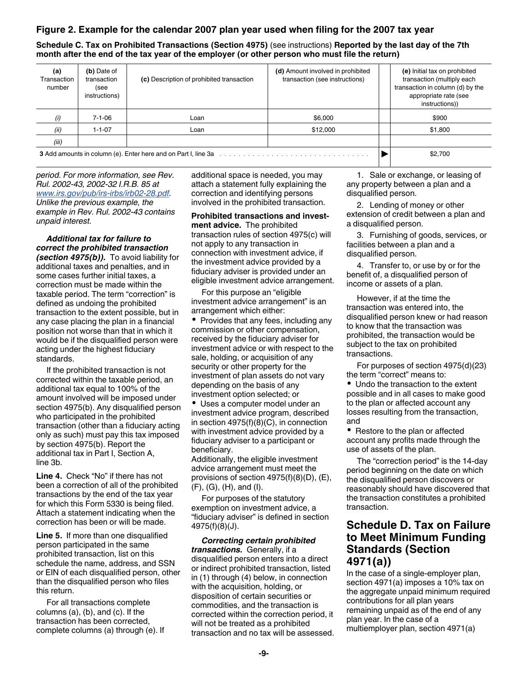# <span id="page-8-0"></span>**Figure 2. Example for the calendar 2007 plan year used when filing for the 2007 tax year**

**Schedule C. Tax on Prohibited Transactions (Section 4975)** (see instructions) **Reported by the last day of the 7th month after the end of the tax year of the employer (or other person who must file the return)**

| (a)<br>Transaction<br>number | (b) Date of<br>transaction<br>(see<br>instructions) | (c) Description of prohibited transaction                                                                    | (d) Amount involved in prohibited<br>transaction (see instructions) | (e) Initial tax on prohibited<br>transaction (multiply each<br>transaction in column (d) by the<br>appropriate rate (see<br>instructions)) |
|------------------------------|-----------------------------------------------------|--------------------------------------------------------------------------------------------------------------|---------------------------------------------------------------------|--------------------------------------------------------------------------------------------------------------------------------------------|
| (i)                          | $7 - 1 - 06$                                        | Loan                                                                                                         | \$6.000                                                             | \$900                                                                                                                                      |
| (ii)                         | $1 - 1 - 07$                                        | Loan                                                                                                         | \$12,000                                                            | \$1,800                                                                                                                                    |
| (iii)                        |                                                     |                                                                                                              |                                                                     |                                                                                                                                            |
|                              |                                                     | 3 Add amounts in column (e). Enter here and on Part I, line 3a manufacture of the context of the column (e). |                                                                     | \$2,700                                                                                                                                    |

*period. For more information, see Rev. Rul. 2002-43, 2002-32 I.R.B. 85 at [www.irs.gov/pub/irs-irbs/irb02-28.pdf](http://www.irs.gov/pub/irs-irbs/irb02-28.pdf). Unlike the previous example, the example in Rev. Rul. 2002-43 contains unpaid interest.*

*Additional tax for failure to correct the prohibited transaction (section 4975(b)).* To avoid liability for additional taxes and penalties, and in some cases further initial taxes, a correction must be made within the taxable period. The term "correction" is defined as undoing the prohibited transaction to the extent possible, but in any case placing the plan in a financial position not worse than that in which it would be if the disqualified person were acting under the highest fiduciary standards.

If the prohibited transaction is not corrected within the taxable period, an additional tax equal to 100% of the amount involved will be imposed under section 4975(b). Any disqualified person who participated in the prohibited transaction (other than a fiduciary acting only as such) must pay this tax imposed by section 4975(b). Report the additional tax in Part I, Section A, line 3b.

**Line 4.** Check "No" if there has not been a correction of all of the prohibited transactions by the end of the tax year for which this Form 5330 is being filed. Attach a statement indicating when the correction has been or will be made.

**Line 5.** If more than one disqualified person participated in the same prohibited transaction, list on this schedule the name, address, and SSN or EIN of each disqualified person, other than the disqualified person who files this return.

For all transactions complete columns (a), (b), and (c). If the transaction has been corrected, complete columns (a) through (e). If additional space is needed, you may attach a statement fully explaining the correction and identifying persons involved in the prohibited transaction.

**Prohibited transactions and investment advice.** The prohibited transaction rules of section 4975(c) will not apply to any transaction in connection with investment advice, if the investment advice provided by a fiduciary adviser is provided under an eligible investment advice arrangement.

For this purpose an "eligible investment advice arrangement" is an arrangement which either:

• Provides that any fees, including any commission or other compensation, received by the fiduciary adviser for investment advice or with respect to the sale, holding, or acquisition of any security or other property for the investment of plan assets do not vary depending on the basis of any investment option selected; or

Uses a computer model under an investment advice program, described in section 4975(f)(8)(C), in connection with investment advice provided by a fiduciary adviser to a participant or beneficiary.

Additionally, the eligible investment advice arrangement must meet the provisions of section 4975(f)(8)(D), (E), (F), (G), (H), and (I).

For purposes of the statutory exemption on investment advice, a "fiduciary adviser" is defined in section 4975(f)(8)(J).

*Correcting certain prohibited transactions.* Generally, if a disqualified person enters into a direct or indirect prohibited transaction, listed in (1) through (4) below, in connection with the acquisition, holding, or disposition of certain securities or commodities, and the transaction is corrected within the correction period, it will not be treated as a prohibited transaction and no tax will be assessed.

1. Sale or exchange, or leasing of any property between a plan and a disqualified person.

2. Lending of money or other extension of credit between a plan and a disqualified person.

3. Furnishing of goods, services, or facilities between a plan and a disqualified person.

4. Transfer to, or use by or for the benefit of, a disqualified person of income or assets of a plan.

However, if at the time the transaction was entered into, the disqualified person knew or had reason to know that the transaction was prohibited, the transaction would be subject to the tax on prohibited transactions.

For purposes of section 4975(d)(23) the term "correct" means to:

• Undo the transaction to the extent possible and in all cases to make good to the plan or affected account any losses resulting from the transaction, and

• Restore to the plan or affected account any profits made through the use of assets of the plan.

The "correction period" is the 14-day period beginning on the date on which the disqualified person discovers or reasonably should have discovered that the transaction constitutes a prohibited transaction.

# **Schedule D. Tax on Failure to Meet Minimum Funding Standards (Section 4971(a))**

In the case of a single-employer plan, section 4971(a) imposes a 10% tax on the aggregate unpaid minimum required contributions for all plan years remaining unpaid as of the end of any plan year. In the case of a multiemployer plan, section 4971(a)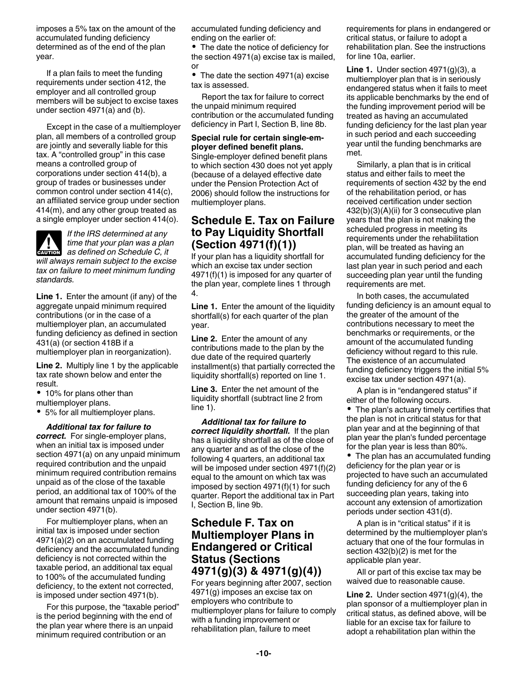<span id="page-9-0"></span>imposes a 5% tax on the amount of the accumulated funding deficiency determined as of the end of the plan year.

If a plan fails to meet the funding requirements under section 412, the employer and all controlled group members will be subject to excise taxes under section 4971(a) and (b).

Except in the case of a multiemployer plan, all members of a controlled group are jointly and severally liable for this tax. A "controlled group" in this case means a controlled group of corporations under section 414(b), a group of trades or businesses under common control under section 414(c), an affiliated service group under section 414(m), and any other group treated as a single employer under section 414(o).



*If the IRS determined at any time that your plan was a plan*  **deventory** time that your plan was a plan<br>
as defined on Schedule C, it *will always remain subject to the excise tax on failure to meet minimum funding standards.*

**Line 1.** Enter the amount (if any) of the aggregate unpaid minimum required contributions (or in the case of a multiemployer plan, an accumulated funding deficiency as defined in section 431(a) (or section 418B if a multiemployer plan in reorganization).

**Line 2.** Multiply line 1 by the applicable tax rate shown below and enter the result.

• 10% for plans other than multiemployer plans.

5% for all multiemployer plans.

*Additional tax for failure to correct.* For single-employer plans, when an initial tax is imposed under section 4971(a) on any unpaid minimum required contribution and the unpaid minimum required contribution remains unpaid as of the close of the taxable period, an additional tax of 100% of the amount that remains unpaid is imposed under section 4971(b).

For multiemployer plans, when an initial tax is imposed under section 4971(a)(2) on an accumulated funding deficiency and the accumulated funding deficiency is not corrected within the taxable period, an additional tax equal to 100% of the accumulated funding deficiency, to the extent not corrected, is imposed under section 4971(b).

For this purpose, the "taxable period" is the period beginning with the end of the plan year where there is an unpaid minimum required contribution or an

accumulated funding deficiency and ending on the earlier of:

• The date the notice of deficiency for the section 4971(a) excise tax is mailed, or

• The date the section 4971(a) excise tax is assessed.

Report the tax for failure to correct the unpaid minimum required contribution or the accumulated funding deficiency in Part I, Section B, line 8b.

#### **Special rule for certain single-employer defined benefit plans.**

Single-employer defined benefit plans to which section 430 does not yet apply (because of a delayed effective date under the Pension Protection Act of 2006) should follow the instructions for multiemployer plans.

# **Schedule E. Tax on Failure to Pay Liquidity Shortfall (Section 4971(f)(1))**

If your plan has a liquidity shortfall for which an excise tax under section 4971(f)(1) is imposed for any quarter of the plan year, complete lines 1 through 4.

**Line 1.** Enter the amount of the liquidity shortfall(s) for each quarter of the plan year.

**Line 2.** Enter the amount of any contributions made to the plan by the due date of the required quarterly installment(s) that partially corrected the liquidity shortfall(s) reported on line 1.

**Line 3.** Enter the net amount of the liquidity shortfall (subtract line 2 from line 1).

*Additional tax for failure to correct liquidity shortfall.* If the plan has a liquidity shortfall as of the close of any quarter and as of the close of the following 4 quarters, an additional tax will be imposed under section 4971(f)(2) equal to the amount on which tax was imposed by section 4971(f)(1) for such quarter. Report the additional tax in Part I, Section B, line 9b.

# **Schedule F. Tax on Multiemployer Plans in Endangered or Critical Status (Sections 4971(g)(3) & 4971(g)(4))**

For years beginning after 2007, section 4971(g) imposes an excise tax on employers who contribute to multiemployer plans for failure to comply with a funding improvement or rehabilitation plan, failure to meet

requirements for plans in endangered or critical status, or failure to adopt a rehabilitation plan. See the instructions for line 10a, earlier.

**Line 1.** Under section 4971(g)(3), a multiemployer plan that is in seriously endangered status when it fails to meet its applicable benchmarks by the end of the funding improvement period will be treated as having an accumulated funding deficiency for the last plan year in such period and each succeeding year until the funding benchmarks are met.

Similarly, a plan that is in critical status and either fails to meet the requirements of section 432 by the end of the rehabilitation period, or has received certification under section 432(b)(3)(A)(ii) for 3 consecutive plan years that the plan is not making the scheduled progress in meeting its requirements under the rehabilitation plan, will be treated as having an accumulated funding deficiency for the last plan year in such period and each succeeding plan year until the funding requirements are met.

In both cases, the accumulated funding deficiency is an amount equal to the greater of the amount of the contributions necessary to meet the benchmarks or requirements, or the amount of the accumulated funding deficiency without regard to this rule. The existence of an accumulated funding deficiency triggers the initial 5% excise tax under section 4971(a).

A plan is in "endangered status" if either of the following occurs.

The plan's actuary timely certifies that the plan is not in critical status for that plan year and at the beginning of that plan year the plan's funded percentage for the plan year is less than 80%.

• The plan has an accumulated funding deficiency for the plan year or is projected to have such an accumulated funding deficiency for any of the 6 succeeding plan years, taking into account any extension of amortization periods under section 431(d).

A plan is in "critical status" if it is determined by the multiemployer plan's actuary that one of the four formulas in section 432(b)(2) is met for the applicable plan year.

All or part of this excise tax may be waived due to reasonable cause.

**Line 2.** Under section 4971(g)(4), the plan sponsor of a multiemployer plan in critical status, as defined above, will be liable for an excise tax for failure to adopt a rehabilitation plan within the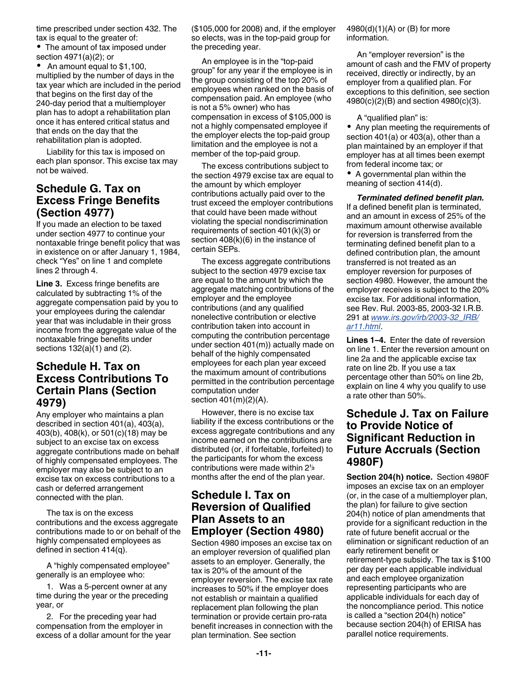<span id="page-10-0"></span>time prescribed under section 432. The tax is equal to the greater of:

• The amount of tax imposed under section 4971(a)(2); or

• An amount equal to \$1,100, multiplied by the number of days in the tax year which are included in the period that begins on the first day of the 240-day period that a multiemployer plan has to adopt a rehabilitation plan once it has entered critical status and that ends on the day that the rehabilitation plan is adopted.

Liability for this tax is imposed on each plan sponsor. This excise tax may not be waived.

# **Schedule G. Tax on Excess Fringe Benefits (Section 4977)**

If you made an election to be taxed under section 4977 to continue your nontaxable fringe benefit policy that was in existence on or after January 1, 1984, check "Yes" on line 1 and complete lines 2 through 4.

**Line 3.** Excess fringe benefits are calculated by subtracting 1% of the aggregate compensation paid by you to your employees during the calendar year that was includable in their gross income from the aggregate value of the nontaxable fringe benefits under sections 132(a)(1) and (2).

# **Schedule H. Tax on Excess Contributions To Certain Plans (Section 4979)**

Any employer who maintains a plan described in section 401(a), 403(a), 403(b), 408(k), or 501(c)(18) may be subject to an excise tax on excess aggregate contributions made on behalf of highly compensated employees. The employer may also be subject to an excise tax on excess contributions to a cash or deferred arrangement connected with the plan.

The tax is on the excess contributions and the excess aggregate contributions made to or on behalf of the highly compensated employees as defined in section 414(q).

A "highly compensated employee" generally is an employee who:

1. Was a 5-percent owner at any time during the year or the preceding year, or

2. For the preceding year had compensation from the employer in excess of a dollar amount for the year (\$105,000 for 2008) and, if the employer so elects, was in the top-paid group for the preceding year.

An employee is in the "top-paid group" for any year if the employee is in the group consisting of the top 20% of employees when ranked on the basis of compensation paid. An employee (who is not a 5% owner) who has compensation in excess of \$105,000 is not a highly compensated employee if the employer elects the top-paid group limitation and the employee is not a member of the top-paid group.

The excess contributions subject to the section 4979 excise tax are equal to the amount by which employer contributions actually paid over to the trust exceed the employer contributions that could have been made without violating the special nondiscrimination requirements of section 401(k)(3) or section 408(k)(6) in the instance of certain SEPs.

The excess aggregate contributions subject to the section 4979 excise tax are equal to the amount by which the aggregate matching contributions of the employer and the employee contributions (and any qualified nonelective contribution or elective contribution taken into account in computing the contribution percentage under section 401(m)) actually made on behalf of the highly compensated employees for each plan year exceed the maximum amount of contributions permitted in the contribution percentage computation under section 401(m)(2)(A).

However, there is no excise tax liability if the excess contributions or the excess aggregate contributions and any income earned on the contributions are distributed (or, if forfeitable, forfeited) to the participants for whom the excess contributions were made within 2**<sup>1</sup>** months after the end of the plan year.

# **Schedule I. Tax on Reversion of Qualified Plan Assets to an Employer (Section 4980)**

Section 4980 imposes an excise tax on an employer reversion of qualified plan assets to an employer. Generally, the tax is 20% of the amount of the employer reversion. The excise tax rate increases to 50% if the employer does not establish or maintain a qualified replacement plan following the plan termination or provide certain pro-rata benefit increases in connection with the plan termination. See section

#### 4980(d)(1)(A) or (B) for more information.

An "employer reversion" is the amount of cash and the FMV of property received, directly or indirectly, by an employer from a qualified plan. For exceptions to this definition, see section 4980(c)(2)(B) and section 4980(c)(3).

A "qualified plan" is:

• Any plan meeting the requirements of section 401(a) or 403(a), other than a plan maintained by an employer if that employer has at all times been exempt from federal income tax; or

A governmental plan within the meaning of section 414(d).

*Terminated defined benefit plan.* If a defined benefit plan is terminated, and an amount in excess of 25% of the maximum amount otherwise available for reversion is transferred from the terminating defined benefit plan to a defined contribution plan, the amount transferred is not treated as an employer reversion for purposes of section 4980. However, the amount the employer receives is subject to the 20% excise tax. For additional information, see Rev. Rul. 2003-85, 2003-32 I.R.B. 291 at *[www.irs.gov/irb/2003-32\\_IRB/](http://www.irs.gov/irb/2003-32_IRB/ar11.html) [ar11.html](http://www.irs.gov/irb/2003-32_IRB/ar11.html)*.

**Lines 1–4.** Enter the date of reversion on line 1. Enter the reversion amount on line 2a and the applicable excise tax rate on line 2b. If you use a tax percentage other than 50% on line 2b, explain on line 4 why you qualify to use a rate other than 50%.

# **2 Schedule J. Tax on Failure to Provide Notice of Significant Reduction in Future Accruals (Section 4980F)**

**Section 204(h) notice.** Section 4980F imposes an excise tax on an employer (or, in the case of a multiemployer plan, the plan) for failure to give section 204(h) notice of plan amendments that provide for a significant reduction in the rate of future benefit accrual or the elimination or significant reduction of an early retirement benefit or retirement-type subsidy. The tax is \$100 per day per each applicable individual and each employee organization representing participants who are applicable individuals for each day of the noncompliance period. This notice is called a "section 204(h) notice" because section 204(h) of ERISA has parallel notice requirements.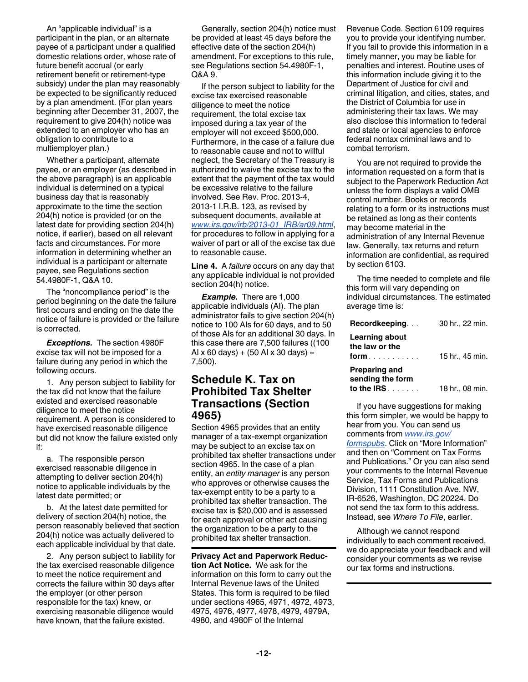<span id="page-11-0"></span>An "applicable individual" is a participant in the plan, or an alternate payee of a participant under a qualified domestic relations order, whose rate of future benefit accrual (or early retirement benefit or retirement-type subsidy) under the plan may reasonably be expected to be significantly reduced by a plan amendment. (For plan years beginning after December 31, 2007, the requirement to give 204(h) notice was extended to an employer who has an obligation to contribute to a multiemployer plan.)

Whether a participant, alternate payee, or an employer (as described in the above paragraph) is an applicable individual is determined on a typical business day that is reasonably approximate to the time the section 204(h) notice is provided (or on the latest date for providing section 204(h) notice, if earlier), based on all relevant facts and circumstances. For more information in determining whether an individual is a participant or alternate payee, see Regulations section 54.4980F-1, Q&A 10.

The "noncompliance period" is the period beginning on the date the failure first occurs and ending on the date the notice of failure is provided or the failure is corrected.

*Exceptions.* The section 4980F excise tax will not be imposed for a failure during any period in which the following occurs.

1. Any person subject to liability for the tax did not know that the failure existed and exercised reasonable diligence to meet the notice requirement. A person is considered to have exercised reasonable diligence but did not know the failure existed only if:

a. The responsible person exercised reasonable diligence in attempting to deliver section 204(h) notice to applicable individuals by the latest date permitted; or

b. At the latest date permitted for delivery of section 204(h) notice, the person reasonably believed that section 204(h) notice was actually delivered to each applicable individual by that date.

2. Any person subject to liability for the tax exercised reasonable diligence to meet the notice requirement and corrects the failure within 30 days after the employer (or other person responsible for the tax) knew, or exercising reasonable diligence would have known, that the failure existed.

Generally, section 204(h) notice must be provided at least 45 days before the effective date of the section 204(h) amendment. For exceptions to this rule, see Regulations section 54.4980F-1, Q&A 9.

If the person subject to liability for the excise tax exercised reasonable diligence to meet the notice requirement, the total excise tax imposed during a tax year of the employer will not exceed \$500,000. Furthermore, in the case of a failure due to reasonable cause and not to willful neglect, the Secretary of the Treasury is authorized to waive the excise tax to the extent that the payment of the tax would be excessive relative to the failure involved. See Rev. Proc. 2013-4, 2013-1 I.R.B. 123, as revised by subsequent documents, available at *[www.irs.gov/irb/2013-01\\_IRB/ar09.html](http://www.irs.gov/irb/2013-01_IRB/ar09.html)*, for procedures to follow in applying for a waiver of part or all of the excise tax due to reasonable cause.

**Line 4.** A *failure* occurs on any day that any applicable individual is not provided section 204(h) notice.

*Example.* There are 1,000 applicable individuals (AI). The plan administrator fails to give section 204(h) notice to 100 AIs for 60 days, and to 50 of those AIs for an additional 30 days. In this case there are 7,500 failures ((100 AI x 60 days) + (50 AI x 30 days) = 7,500).

# **Schedule K. Tax on Prohibited Tax Shelter Transactions (Section 4965)**

Section 4965 provides that an entity manager of a tax-exempt organization may be subject to an excise tax on prohibited tax shelter transactions under section 4965. In the case of a plan entity, an *entity manager* is any person who approves or otherwise causes the tax-exempt entity to be a party to a prohibited tax shelter transaction. The excise tax is \$20,000 and is assessed for each approval or other act causing the organization to be a party to the prohibited tax shelter transaction.

**Privacy Act and Paperwork Reduction Act Notice.** We ask for the information on this form to carry out the Internal Revenue laws of the United States. This form is required to be filed under sections 4965, 4971, 4972, 4973, 4975, 4976, 4977, 4978, 4979, 4979A, 4980, and 4980F of the Internal

Revenue Code. Section 6109 requires you to provide your identifying number. If you fail to provide this information in a timely manner, you may be liable for penalties and interest. Routine uses of this information include giving it to the Department of Justice for civil and criminal litigation, and cities, states, and the District of Columbia for use in administering their tax laws. We may also disclose this information to federal and state or local agencies to enforce federal nontax criminal laws and to combat terrorism.

You are not required to provide the information requested on a form that is subject to the Paperwork Reduction Act unless the form displays a valid OMB control number. Books or records relating to a form or its instructions must be retained as long as their contents may become material in the administration of any Internal Revenue law. Generally, tax returns and return information are confidential, as required by section 6103.

The time needed to complete and file this form will vary depending on individual circumstances. The estimated average time is:

| 15 hr., 45 min. |
|-----------------|
| 18 hr., 08 min. |
|                 |

If you have suggestions for making this form simpler, we would be happy to hear from you. You can send us comments from *[www.irs.gov/](http://www.irs.gov/formspubs)*

*[formspubs](http://www.irs.gov/formspubs)*. Click on "More Information" and then on "Comment on Tax Forms and Publications." Or you can also send your comments to the Internal Revenue Service, Tax Forms and Publications Division, 1111 Constitution Ave. NW, IR-6526, Washington, DC 20224. Do not send the tax form to this address. Instead, see *Where To File*, earlier.

Although we cannot respond individually to each comment received, we do appreciate your feedback and will consider your comments as we revise our tax forms and instructions.